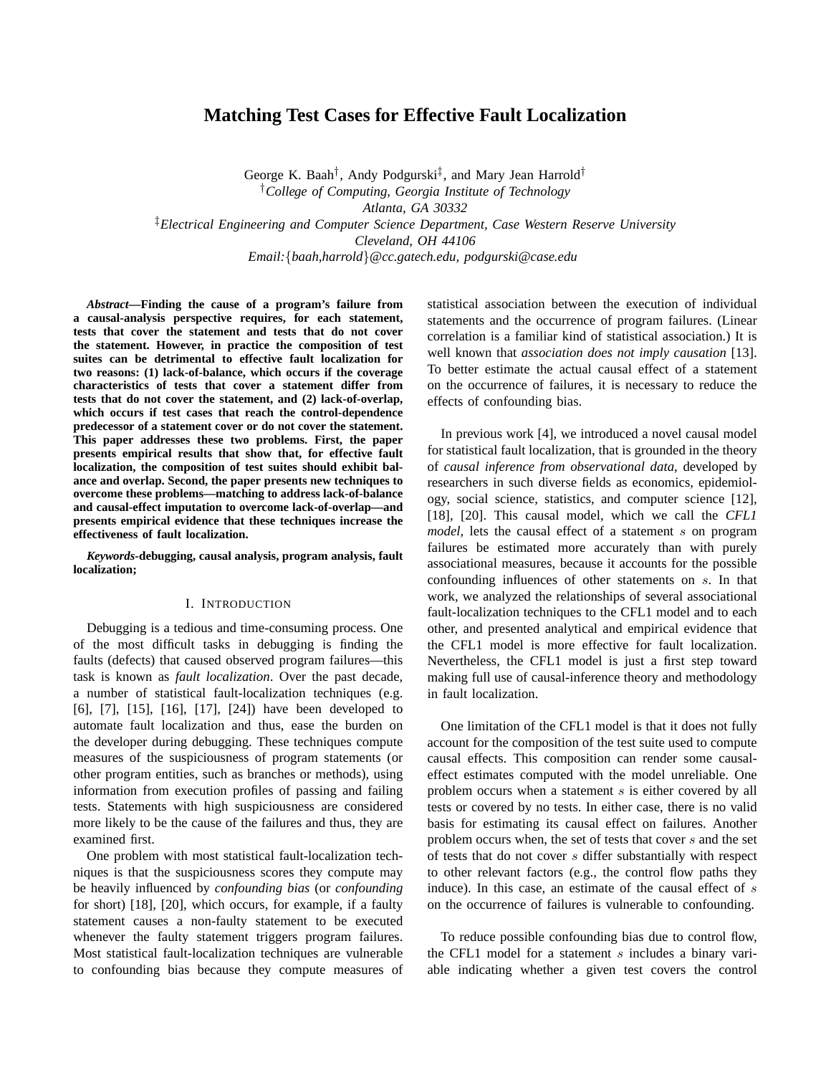# **Matching Test Cases for Effective Fault Localization**

George K. Baah<sup>†</sup>, Andy Podgurski<sup>‡</sup>, and Mary Jean Harrold<sup>†</sup> †*College of Computing, Georgia Institute of Technology Atlanta, GA 30332* ‡*Electrical Engineering and Computer Science Department, Case Western Reserve University Cleveland, OH 44106 Email:*{*baah,harrold*}*@cc.gatech.edu, podgurski@case.edu*

*Abstract***—Finding the cause of a program's failure from a causal-analysis perspective requires, for each statement, tests that cover the statement and tests that do not cover the statement. However, in practice the composition of test suites can be detrimental to effective fault localization for two reasons: (1) lack-of-balance, which occurs if the coverage characteristics of tests that cover a statement differ from tests that do not cover the statement, and (2) lack-of-overlap, which occurs if test cases that reach the control-dependence predecessor of a statement cover or do not cover the statement. This paper addresses these two problems. First, the paper presents empirical results that show that, for effective fault localization, the composition of test suites should exhibit balance and overlap. Second, the paper presents new techniques to overcome these problems—matching to address lack-of-balance and causal-effect imputation to overcome lack-of-overlap—and presents empirical evidence that these techniques increase the effectiveness of fault localization.**

*Keywords***-debugging, causal analysis, program analysis, fault localization;**

### I. INTRODUCTION

Debugging is a tedious and time-consuming process. One of the most difficult tasks in debugging is finding the faults (defects) that caused observed program failures—this task is known as *fault localization*. Over the past decade, a number of statistical fault-localization techniques (e.g. [6], [7], [15], [16], [17], [24]) have been developed to automate fault localization and thus, ease the burden on the developer during debugging. These techniques compute measures of the suspiciousness of program statements (or other program entities, such as branches or methods), using information from execution profiles of passing and failing tests. Statements with high suspiciousness are considered more likely to be the cause of the failures and thus, they are examined first.

One problem with most statistical fault-localization techniques is that the suspiciousness scores they compute may be heavily influenced by *confounding bias* (or *confounding* for short) [18], [20], which occurs, for example, if a faulty statement causes a non-faulty statement to be executed whenever the faulty statement triggers program failures. Most statistical fault-localization techniques are vulnerable to confounding bias because they compute measures of statistical association between the execution of individual statements and the occurrence of program failures. (Linear correlation is a familiar kind of statistical association.) It is well known that *association does not imply causation* [13]. To better estimate the actual causal effect of a statement on the occurrence of failures, it is necessary to reduce the effects of confounding bias.

In previous work [4], we introduced a novel causal model for statistical fault localization, that is grounded in the theory of *causal inference from observational data*, developed by researchers in such diverse fields as economics, epidemiology, social science, statistics, and computer science [12], [18], [20]. This causal model, which we call the *CFL1 model*, lets the causal effect of a statement s on program failures be estimated more accurately than with purely associational measures, because it accounts for the possible confounding influences of other statements on s. In that work, we analyzed the relationships of several associational fault-localization techniques to the CFL1 model and to each other, and presented analytical and empirical evidence that the CFL1 model is more effective for fault localization. Nevertheless, the CFL1 model is just a first step toward making full use of causal-inference theory and methodology in fault localization.

One limitation of the CFL1 model is that it does not fully account for the composition of the test suite used to compute causal effects. This composition can render some causaleffect estimates computed with the model unreliable. One problem occurs when a statement s is either covered by all tests or covered by no tests. In either case, there is no valid basis for estimating its causal effect on failures. Another problem occurs when, the set of tests that cover s and the set of tests that do not cover s differ substantially with respect to other relevant factors (e.g., the control flow paths they induce). In this case, an estimate of the causal effect of s on the occurrence of failures is vulnerable to confounding.

To reduce possible confounding bias due to control flow, the CFL1 model for a statement s includes a binary variable indicating whether a given test covers the control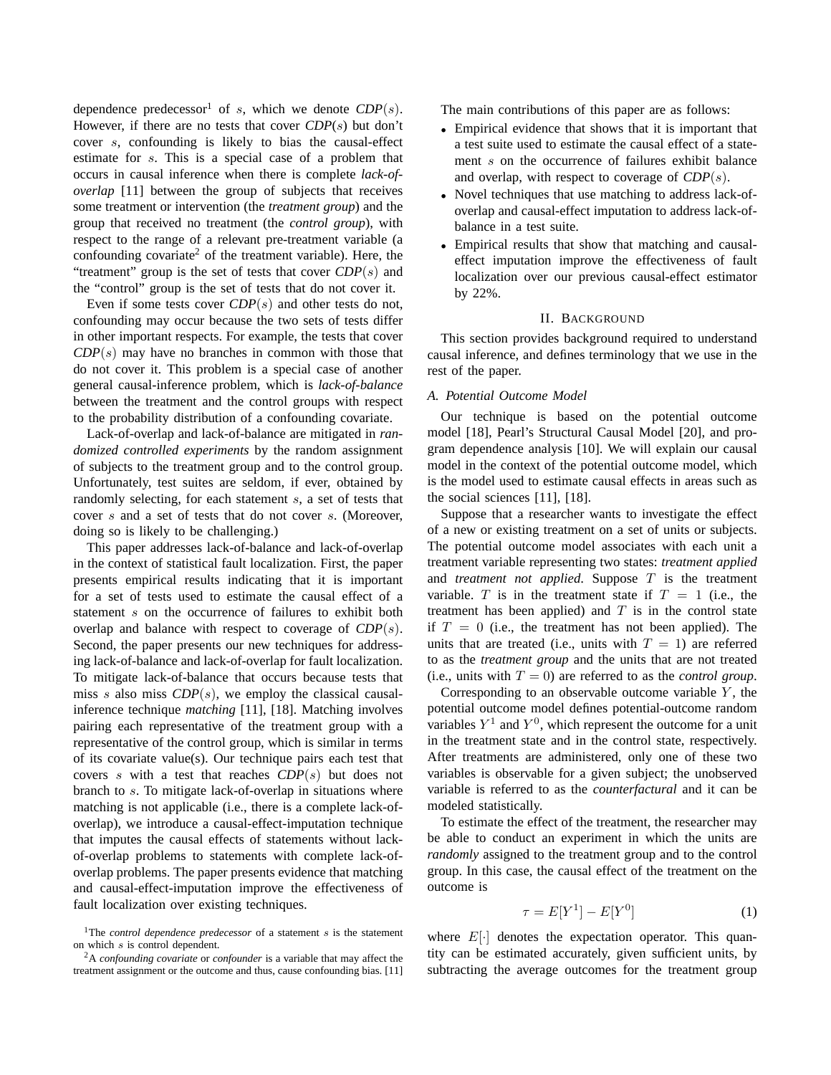dependence predecessor<sup>1</sup> of s, which we denote  $CDP(s)$ . However, if there are no tests that cover *CDP*(s) but don't cover s, confounding is likely to bias the causal-effect estimate for s. This is a special case of a problem that occurs in causal inference when there is complete *lack-ofoverlap* [11] between the group of subjects that receives some treatment or intervention (the *treatment group*) and the group that received no treatment (the *control group*), with respect to the range of a relevant pre-treatment variable (a confounding covariate<sup>2</sup> of the treatment variable). Here, the "treatment" group is the set of tests that cover *CDP*(s) and the "control" group is the set of tests that do not cover it.

Even if some tests cover *CDP*(s) and other tests do not, confounding may occur because the two sets of tests differ in other important respects. For example, the tests that cover  $CDP(s)$  may have no branches in common with those that do not cover it. This problem is a special case of another general causal-inference problem, which is *lack-of-balance* between the treatment and the control groups with respect to the probability distribution of a confounding covariate.

Lack-of-overlap and lack-of-balance are mitigated in *randomized controlled experiments* by the random assignment of subjects to the treatment group and to the control group. Unfortunately, test suites are seldom, if ever, obtained by randomly selecting, for each statement s, a set of tests that cover s and a set of tests that do not cover s. (Moreover, doing so is likely to be challenging.)

This paper addresses lack-of-balance and lack-of-overlap in the context of statistical fault localization. First, the paper presents empirical results indicating that it is important for a set of tests used to estimate the causal effect of a statement s on the occurrence of failures to exhibit both overlap and balance with respect to coverage of *CDP*(s). Second, the paper presents our new techniques for addressing lack-of-balance and lack-of-overlap for fault localization. To mitigate lack-of-balance that occurs because tests that miss s also miss  $CDP(s)$ , we employ the classical causalinference technique *matching* [11], [18]. Matching involves pairing each representative of the treatment group with a representative of the control group, which is similar in terms of its covariate value(s). Our technique pairs each test that covers s with a test that reaches *CDP*(s) but does not branch to s. To mitigate lack-of-overlap in situations where matching is not applicable (i.e., there is a complete lack-ofoverlap), we introduce a causal-effect-imputation technique that imputes the causal effects of statements without lackof-overlap problems to statements with complete lack-ofoverlap problems. The paper presents evidence that matching and causal-effect-imputation improve the effectiveness of fault localization over existing techniques.

The main contributions of this paper are as follows:

- Empirical evidence that shows that it is important that a test suite used to estimate the causal effect of a statement s on the occurrence of failures exhibit balance and overlap, with respect to coverage of *CDP*(s).
- Novel techniques that use matching to address lack-ofoverlap and causal-effect imputation to address lack-ofbalance in a test suite.
- Empirical results that show that matching and causaleffect imputation improve the effectiveness of fault localization over our previous causal-effect estimator by 22%.

#### II. BACKGROUND

This section provides background required to understand causal inference, and defines terminology that we use in the rest of the paper.

### *A. Potential Outcome Model*

Our technique is based on the potential outcome model [18], Pearl's Structural Causal Model [20], and program dependence analysis [10]. We will explain our causal model in the context of the potential outcome model, which is the model used to estimate causal effects in areas such as the social sciences [11], [18].

Suppose that a researcher wants to investigate the effect of a new or existing treatment on a set of units or subjects. The potential outcome model associates with each unit a treatment variable representing two states: *treatment applied* and *treatment not applied*. Suppose T is the treatment variable. T is in the treatment state if  $T = 1$  (i.e., the treatment has been applied) and  $T$  is in the control state if  $T = 0$  (i.e., the treatment has not been applied). The units that are treated (i.e., units with  $T = 1$ ) are referred to as the *treatment group* and the units that are not treated (i.e., units with  $T = 0$ ) are referred to as the *control group*.

Corresponding to an observable outcome variable  $Y$ , the potential outcome model defines potential-outcome random variables  $Y^1$  and  $Y^0$ , which represent the outcome for a unit in the treatment state and in the control state, respectively. After treatments are administered, only one of these two variables is observable for a given subject; the unobserved variable is referred to as the *counterfactural* and it can be modeled statistically.

To estimate the effect of the treatment, the researcher may be able to conduct an experiment in which the units are *randomly* assigned to the treatment group and to the control group. In this case, the causal effect of the treatment on the outcome is

$$
\tau = E[Y^1] - E[Y^0]
$$
\n<sup>(1)</sup>

where  $E[\cdot]$  denotes the expectation operator. This quantity can be estimated accurately, given sufficient units, by subtracting the average outcomes for the treatment group

<sup>&</sup>lt;sup>1</sup>The *control dependence predecessor* of a statement  $s$  is the statement on which s is control dependent.

<sup>2</sup>A *confounding covariate* or *confounder* is a variable that may affect the treatment assignment or the outcome and thus, cause confounding bias. [11]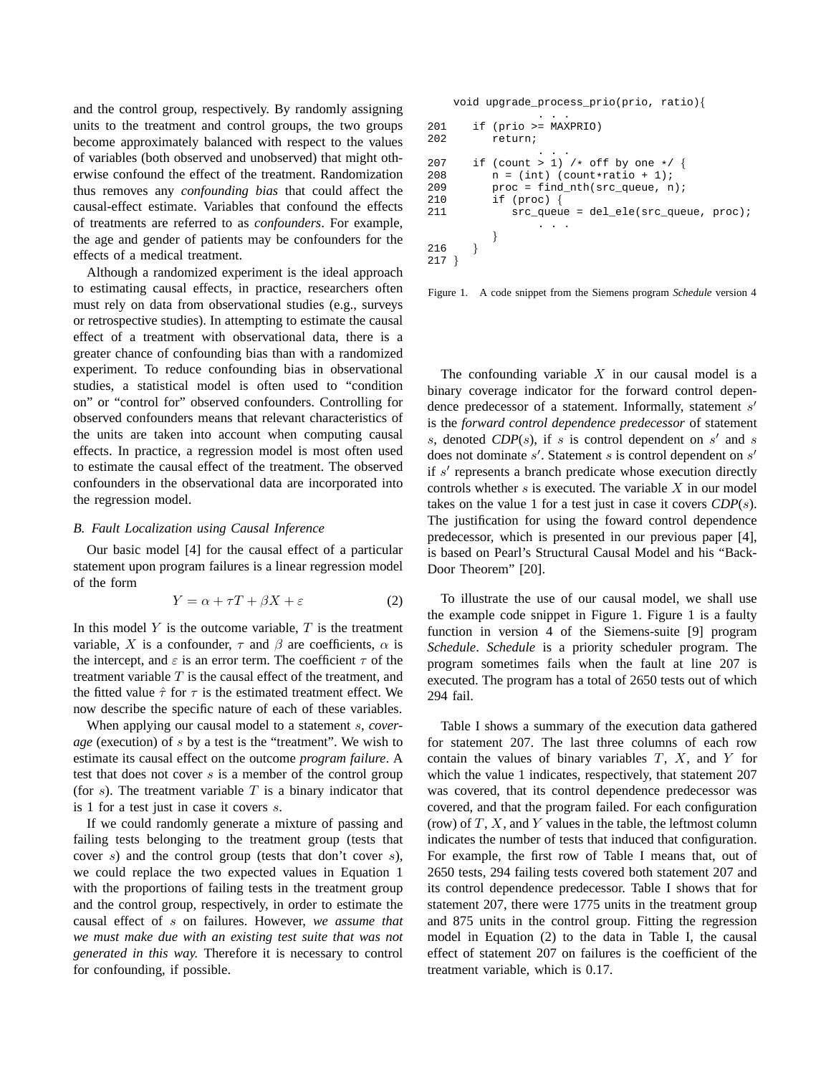and the control group, respectively. By randomly assigning units to the treatment and control groups, the two groups become approximately balanced with respect to the values of variables (both observed and unobserved) that might otherwise confound the effect of the treatment. Randomization thus removes any *confounding bias* that could affect the causal-effect estimate. Variables that confound the effects of treatments are referred to as *confounders*. For example, the age and gender of patients may be confounders for the effects of a medical treatment.

Although a randomized experiment is the ideal approach to estimating causal effects, in practice, researchers often must rely on data from observational studies (e.g., surveys or retrospective studies). In attempting to estimate the causal effect of a treatment with observational data, there is a greater chance of confounding bias than with a randomized experiment. To reduce confounding bias in observational studies, a statistical model is often used to "condition on" or "control for" observed confounders. Controlling for observed confounders means that relevant characteristics of the units are taken into account when computing causal effects. In practice, a regression model is most often used to estimate the causal effect of the treatment. The observed confounders in the observational data are incorporated into the regression model.

### *B. Fault Localization using Causal Inference*

Our basic model [4] for the causal effect of a particular statement upon program failures is a linear regression model of the form

$$
Y = \alpha + \tau T + \beta X + \varepsilon \tag{2}
$$

In this model  $Y$  is the outcome variable,  $T$  is the treatment variable, X is a confounder,  $\tau$  and  $\beta$  are coefficients,  $\alpha$  is the intercept, and  $\varepsilon$  is an error term. The coefficient  $\tau$  of the treatment variable  $T$  is the causal effect of the treatment, and the fitted value  $\hat{\tau}$  for  $\tau$  is the estimated treatment effect. We now describe the specific nature of each of these variables.

When applying our causal model to a statement s, *coverage* (execution) of s by a test is the "treatment". We wish to estimate its causal effect on the outcome *program failure*. A test that does not cover  $s$  is a member of the control group (for  $s$ ). The treatment variable  $T$  is a binary indicator that is 1 for a test just in case it covers s.

If we could randomly generate a mixture of passing and failing tests belonging to the treatment group (tests that cover s) and the control group (tests that don't cover s), we could replace the two expected values in Equation 1 with the proportions of failing tests in the treatment group and the control group, respectively, in order to estimate the causal effect of s on failures. However, *we assume that we must make due with an existing test suite that was not generated in this way.* Therefore it is necessary to control for confounding, if possible.

|            | void upgrade_process_prio(prio, ratio){        |
|------------|------------------------------------------------|
| 201        | if $(prio >= MAXPRIO)$                         |
| 202        | return;                                        |
| 207        | if (count > 1) /* off by one */ {              |
| 208        | $n = (int) (count*ratio + 1);$                 |
| 209        | $proc = find nth(src queue, n);$               |
| 210        | if $(\text{proc})$ {                           |
| 211        | $src_{queue} = del_{ele} (src_{queue}, proc);$ |
| 216<br>217 |                                                |

Figure 1. A code snippet from the Siemens program *Schedule* version 4

The confounding variable  $X$  in our causal model is a binary coverage indicator for the forward control dependence predecessor of a statement. Informally, statement s' is the *forward control dependence predecessor* of statement s, denoted  $CDP(s)$ , if s is control dependent on s' and s does not dominate  $s'$ . Statement s is control dependent on  $s'$ if s' represents a branch predicate whose execution directly controls whether s is executed. The variable  $X$  in our model takes on the value 1 for a test just in case it covers *CDP*(s). The justification for using the foward control dependence predecessor, which is presented in our previous paper [4], is based on Pearl's Structural Causal Model and his "Back-Door Theorem" [20].

To illustrate the use of our causal model, we shall use the example code snippet in Figure 1. Figure 1 is a faulty function in version 4 of the Siemens-suite [9] program *Schedule*. *Schedule* is a priority scheduler program. The program sometimes fails when the fault at line 207 is executed. The program has a total of 2650 tests out of which 294 fail.

Table I shows a summary of the execution data gathered for statement 207. The last three columns of each row contain the values of binary variables  $T$ ,  $X$ , and  $Y$  for which the value 1 indicates, respectively, that statement 207 was covered, that its control dependence predecessor was covered, and that the program failed. For each configuration (row) of  $T$ ,  $X$ , and  $Y$  values in the table, the leftmost column indicates the number of tests that induced that configuration. For example, the first row of Table I means that, out of 2650 tests, 294 failing tests covered both statement 207 and its control dependence predecessor. Table I shows that for statement 207, there were 1775 units in the treatment group and 875 units in the control group. Fitting the regression model in Equation (2) to the data in Table I, the causal effect of statement 207 on failures is the coefficient of the treatment variable, which is 0.17.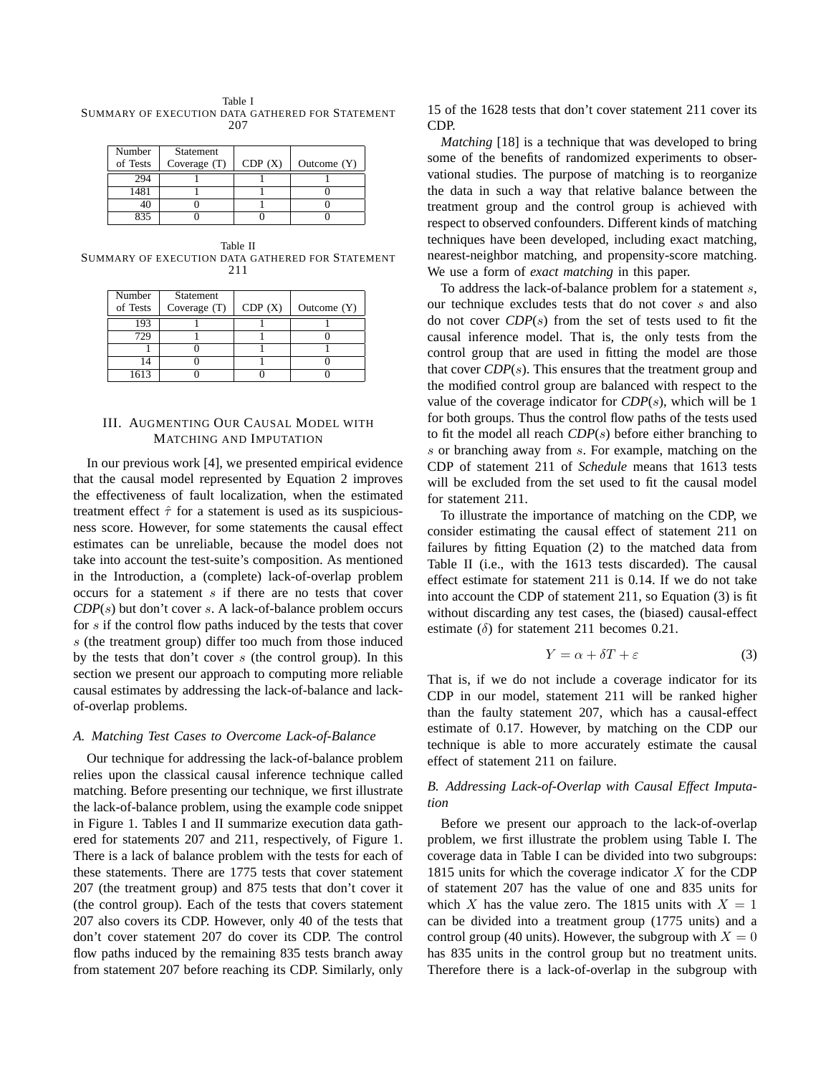Table I SUMMARY OF EXECUTION DATA GATHERED FOR STATEMENT 207

| Number<br>of Tests | Statement<br>Coverage (T) | CDP(X) | Outcome $(Y)$ |
|--------------------|---------------------------|--------|---------------|
| 294                |                           |        |               |
| 1481               |                           |        |               |
|                    |                           |        |               |
|                    |                           |        |               |

Table II SUMMARY OF EXECUTION DATA GATHERED FOR STATEMENT 211

| Number<br>of Tests | Statement<br>Coverage $(T)$ | CDP(X) | Outcome $(Y)$ |
|--------------------|-----------------------------|--------|---------------|
| 193                |                             |        |               |
| 729                |                             |        |               |
|                    |                             |        |               |
|                    |                             |        |               |
| 1613               |                             |        |               |

# III. AUGMENTING OUR CAUSAL MODEL WITH MATCHING AND IMPUTATION

In our previous work [4], we presented empirical evidence that the causal model represented by Equation 2 improves the effectiveness of fault localization, when the estimated treatment effect  $\hat{\tau}$  for a statement is used as its suspiciousness score. However, for some statements the causal effect estimates can be unreliable, because the model does not take into account the test-suite's composition. As mentioned in the Introduction, a (complete) lack-of-overlap problem occurs for a statement s if there are no tests that cover *CDP*(s) but don't cover s. A lack-of-balance problem occurs for s if the control flow paths induced by the tests that cover s (the treatment group) differ too much from those induced by the tests that don't cover  $s$  (the control group). In this section we present our approach to computing more reliable causal estimates by addressing the lack-of-balance and lackof-overlap problems.

### *A. Matching Test Cases to Overcome Lack-of-Balance*

Our technique for addressing the lack-of-balance problem relies upon the classical causal inference technique called matching. Before presenting our technique, we first illustrate the lack-of-balance problem, using the example code snippet in Figure 1. Tables I and II summarize execution data gathered for statements 207 and 211, respectively, of Figure 1. There is a lack of balance problem with the tests for each of these statements. There are 1775 tests that cover statement 207 (the treatment group) and 875 tests that don't cover it (the control group). Each of the tests that covers statement 207 also covers its CDP. However, only 40 of the tests that don't cover statement 207 do cover its CDP. The control flow paths induced by the remaining 835 tests branch away from statement 207 before reaching its CDP. Similarly, only 15 of the 1628 tests that don't cover statement 211 cover its CDP.

*Matching* [18] is a technique that was developed to bring some of the benefits of randomized experiments to observational studies. The purpose of matching is to reorganize the data in such a way that relative balance between the treatment group and the control group is achieved with respect to observed confounders. Different kinds of matching techniques have been developed, including exact matching, nearest-neighbor matching, and propensity-score matching. We use a form of *exact matching* in this paper.

To address the lack-of-balance problem for a statement s, our technique excludes tests that do not cover s and also do not cover *CDP*(s) from the set of tests used to fit the causal inference model. That is, the only tests from the control group that are used in fitting the model are those that cover *CDP*(s). This ensures that the treatment group and the modified control group are balanced with respect to the value of the coverage indicator for *CDP*(s), which will be 1 for both groups. Thus the control flow paths of the tests used to fit the model all reach *CDP*(s) before either branching to s or branching away from s. For example, matching on the CDP of statement 211 of *Schedule* means that 1613 tests will be excluded from the set used to fit the causal model for statement 211.

To illustrate the importance of matching on the CDP, we consider estimating the causal effect of statement 211 on failures by fitting Equation (2) to the matched data from Table II (i.e., with the 1613 tests discarded). The causal effect estimate for statement 211 is 0.14. If we do not take into account the CDP of statement 211, so Equation (3) is fit without discarding any test cases, the (biased) causal-effect estimate ( $\delta$ ) for statement 211 becomes 0.21.

$$
Y = \alpha + \delta T + \varepsilon \tag{3}
$$

That is, if we do not include a coverage indicator for its CDP in our model, statement 211 will be ranked higher than the faulty statement 207, which has a causal-effect estimate of 0.17. However, by matching on the CDP our technique is able to more accurately estimate the causal effect of statement 211 on failure.

# *B. Addressing Lack-of-Overlap with Causal Effect Imputation*

Before we present our approach to the lack-of-overlap problem, we first illustrate the problem using Table I. The coverage data in Table I can be divided into two subgroups: 1815 units for which the coverage indicator  $X$  for the CDP of statement 207 has the value of one and 835 units for which X has the value zero. The 1815 units with  $X = 1$ can be divided into a treatment group (1775 units) and a control group (40 units). However, the subgroup with  $X = 0$ has 835 units in the control group but no treatment units. Therefore there is a lack-of-overlap in the subgroup with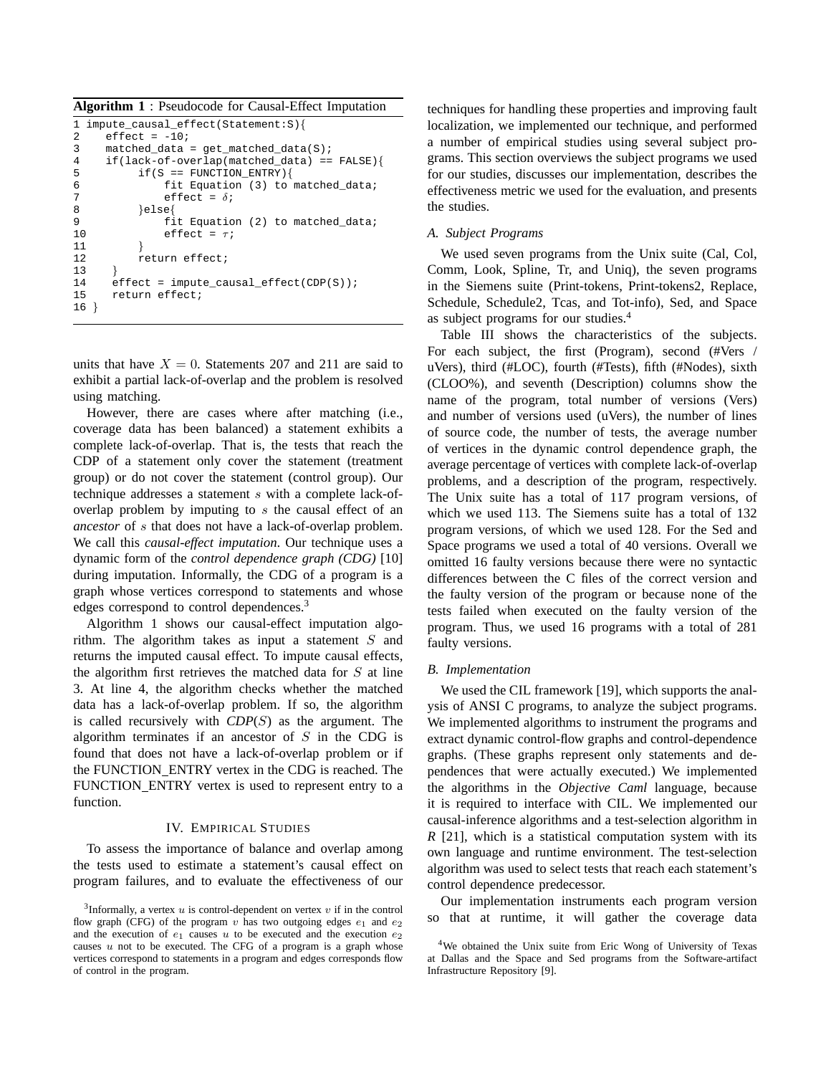**Algorithm 1** : Pseudocode for Causal-Effect Imputation

```
1 impute_causal_effect(Statement:S){
2 effect = -10i<br>3 matched data;
     matched data = qet matched data(S);4 if(lack-of-overlap(matched_data) == FALSE}{<br>5 if(S == FUNCTION ENTRY){
5 if(S == FUNCTION_ENTRY){<br>6 fit Equation (3) to
               fit Equation (3) to matched_data;
7 effect = \delta;<br>8 \text{leps}8 }else{<br>9 fi
               fit Equation (2) to matched_data;
10 effect = \tau;
11 }
12 return effect;
13 }
14 effect = impute_causal_effect(CDP(S));
15 return effect;
16 }
```
units that have  $X = 0$ . Statements 207 and 211 are said to exhibit a partial lack-of-overlap and the problem is resolved using matching.

However, there are cases where after matching (i.e., coverage data has been balanced) a statement exhibits a complete lack-of-overlap. That is, the tests that reach the CDP of a statement only cover the statement (treatment group) or do not cover the statement (control group). Our technique addresses a statement s with a complete lack-ofoverlap problem by imputing to s the causal effect of an *ancestor* of s that does not have a lack-of-overlap problem. We call this *causal-effect imputation*. Our technique uses a dynamic form of the *control dependence graph (CDG)* [10] during imputation. Informally, the CDG of a program is a graph whose vertices correspond to statements and whose edges correspond to control dependences.<sup>3</sup>

Algorithm 1 shows our causal-effect imputation algorithm. The algorithm takes as input a statement  $S$  and returns the imputed causal effect. To impute causal effects, the algorithm first retrieves the matched data for  $S$  at line 3. At line 4, the algorithm checks whether the matched data has a lack-of-overlap problem. If so, the algorithm is called recursively with *CDP*(S) as the argument. The algorithm terminates if an ancestor of  $S$  in the CDG is found that does not have a lack-of-overlap problem or if the FUNCTION ENTRY vertex in the CDG is reached. The FUNCTION ENTRY vertex is used to represent entry to a function.

# IV. EMPIRICAL STUDIES

To assess the importance of balance and overlap among the tests used to estimate a statement's causal effect on program failures, and to evaluate the effectiveness of our techniques for handling these properties and improving fault localization, we implemented our technique, and performed a number of empirical studies using several subject programs. This section overviews the subject programs we used for our studies, discusses our implementation, describes the effectiveness metric we used for the evaluation, and presents the studies.

# *A. Subject Programs*

We used seven programs from the Unix suite (Cal, Col, Comm, Look, Spline, Tr, and Uniq), the seven programs in the Siemens suite (Print-tokens, Print-tokens2, Replace, Schedule, Schedule2, Tcas, and Tot-info), Sed, and Space as subject programs for our studies.<sup>4</sup>

Table III shows the characteristics of the subjects. For each subject, the first (Program), second (#Vers / uVers), third (#LOC), fourth (#Tests), fifth (#Nodes), sixth (CLOO%), and seventh (Description) columns show the name of the program, total number of versions (Vers) and number of versions used (uVers), the number of lines of source code, the number of tests, the average number of vertices in the dynamic control dependence graph, the average percentage of vertices with complete lack-of-overlap problems, and a description of the program, respectively. The Unix suite has a total of 117 program versions, of which we used 113. The Siemens suite has a total of 132 program versions, of which we used 128. For the Sed and Space programs we used a total of 40 versions. Overall we omitted 16 faulty versions because there were no syntactic differences between the C files of the correct version and the faulty version of the program or because none of the tests failed when executed on the faulty version of the program. Thus, we used 16 programs with a total of 281 faulty versions.

## *B. Implementation*

We used the CIL framework [19], which supports the analysis of ANSI C programs, to analyze the subject programs. We implemented algorithms to instrument the programs and extract dynamic control-flow graphs and control-dependence graphs. (These graphs represent only statements and dependences that were actually executed.) We implemented the algorithms in the *Objective Caml* language, because it is required to interface with CIL. We implemented our causal-inference algorithms and a test-selection algorithm in *R* [21], which is a statistical computation system with its own language and runtime environment. The test-selection algorithm was used to select tests that reach each statement's control dependence predecessor.

Our implementation instruments each program version so that at runtime, it will gather the coverage data

<sup>&</sup>lt;sup>3</sup>Informally, a vertex  $u$  is control-dependent on vertex  $v$  if in the control flow graph (CFG) of the program v has two outgoing edges  $e_1$  and  $e_2$ and the execution of  $e_1$  causes u to be executed and the execution  $e_2$ causes  $u$  not to be executed. The CFG of a program is a graph whose vertices correspond to statements in a program and edges corresponds flow of control in the program.

<sup>4</sup>We obtained the Unix suite from Eric Wong of University of Texas at Dallas and the Space and Sed programs from the Software-artifact Infrastructure Repository [9].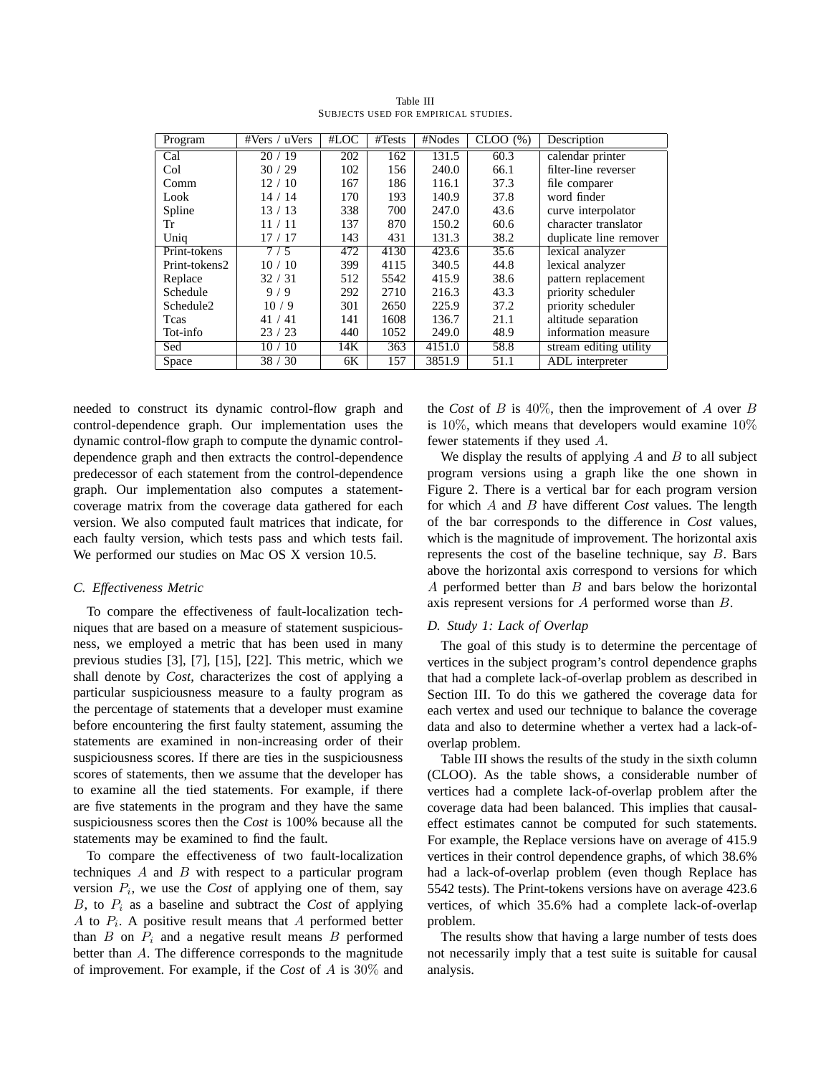| Program               | #Vers / uVers | #LOC | #Tests | $\overline{\text{HNodes}}$ | CLOO(%) | Description            |
|-----------------------|---------------|------|--------|----------------------------|---------|------------------------|
| Cal                   | 20/19         | 202  | 162    | 131.5                      | 60.3    | calendar printer       |
| Col                   | 30/29         | 102  | 156    | 240.0                      | 66.1    | filter-line reverser   |
| Comm                  | 12/10         | 167  | 186    | 116.1                      | 37.3    | file comparer          |
| Look                  | 14/14         | 170  | 193    | 140.9                      | 37.8    | word finder            |
| Spline                | 13/13         | 338  | 700    | 247.0                      | 43.6    | curve interpolator     |
| Tr                    | 11/11         | 137  | 870    | 150.2                      | 60.6    | character translator   |
| Uniq                  | 17/17         | 143  | 431    | 131.3                      | 38.2    | duplicate line remover |
| Print-tokens          | 7/5           | 472  | 4130   | 423.6                      | 35.6    | lexical analyzer       |
| Print-tokens2         | 10/10         | 399  | 4115   | 340.5                      | 44.8    | lexical analyzer       |
| Replace               | 32/31         | 512  | 5542   | 415.9                      | 38.6    | pattern replacement    |
| Schedule              | 9/9           | 292  | 2710   | 216.3                      | 43.3    | priority scheduler     |
| Schedule <sub>2</sub> | 10/9          | 301  | 2650   | 225.9                      | 37.2    | priority scheduler     |
| Teas                  | 41/41         | 141  | 1608   | 136.7                      | 21.1    | altitude separation    |
| Tot-info              | 23/23         | 440  | 1052   | 249.0                      | 48.9    | information measure    |
| Sed                   | 10/10         | 14K  | 363    | 4151.0                     | 58.8    | stream editing utility |
| Space                 | 38 / 30       | 6K   | 157    | 3851.9                     | 51.1    | ADL interpreter        |

Table III SUBJECTS USED FOR EMPIRICAL STUDIES.

needed to construct its dynamic control-flow graph and control-dependence graph. Our implementation uses the dynamic control-flow graph to compute the dynamic controldependence graph and then extracts the control-dependence predecessor of each statement from the control-dependence graph. Our implementation also computes a statementcoverage matrix from the coverage data gathered for each version. We also computed fault matrices that indicate, for each faulty version, which tests pass and which tests fail. We performed our studies on Mac OS X version 10.5.

# *C. Effectiveness Metric*

To compare the effectiveness of fault-localization techniques that are based on a measure of statement suspiciousness, we employed a metric that has been used in many previous studies [3], [7], [15], [22]. This metric, which we shall denote by *Cost*, characterizes the cost of applying a particular suspiciousness measure to a faulty program as the percentage of statements that a developer must examine before encountering the first faulty statement, assuming the statements are examined in non-increasing order of their suspiciousness scores. If there are ties in the suspiciousness scores of statements, then we assume that the developer has to examine all the tied statements. For example, if there are five statements in the program and they have the same suspiciousness scores then the *Cost* is 100% because all the statements may be examined to find the fault.

To compare the effectiveness of two fault-localization techniques A and B with respect to a particular program version  $P_i$ , we use the *Cost* of applying one of them, say  $B$ , to  $P_i$  as a baseline and subtract the *Cost* of applying A to  $P_i$ . A positive result means that A performed better than  $B$  on  $P_i$  and a negative result means  $B$  performed better than A. The difference corresponds to the magnitude of improvement. For example, if the *Cost* of A is 30% and the *Cost* of B is  $40\%$ , then the improvement of A over B is 10%, which means that developers would examine 10% fewer statements if they used A.

We display the results of applying  $A$  and  $B$  to all subject program versions using a graph like the one shown in Figure 2. There is a vertical bar for each program version for which A and B have different *Cost* values. The length of the bar corresponds to the difference in *Cost* values, which is the magnitude of improvement. The horizontal axis represents the cost of the baseline technique, say B. Bars above the horizontal axis correspond to versions for which A performed better than B and bars below the horizontal axis represent versions for A performed worse than B.

# *D. Study 1: Lack of Overlap*

The goal of this study is to determine the percentage of vertices in the subject program's control dependence graphs that had a complete lack-of-overlap problem as described in Section III. To do this we gathered the coverage data for each vertex and used our technique to balance the coverage data and also to determine whether a vertex had a lack-ofoverlap problem.

Table III shows the results of the study in the sixth column (CLOO). As the table shows, a considerable number of vertices had a complete lack-of-overlap problem after the coverage data had been balanced. This implies that causaleffect estimates cannot be computed for such statements. For example, the Replace versions have on average of 415.9 vertices in their control dependence graphs, of which 38.6% had a lack-of-overlap problem (even though Replace has 5542 tests). The Print-tokens versions have on average 423.6 vertices, of which 35.6% had a complete lack-of-overlap problem.

The results show that having a large number of tests does not necessarily imply that a test suite is suitable for causal analysis.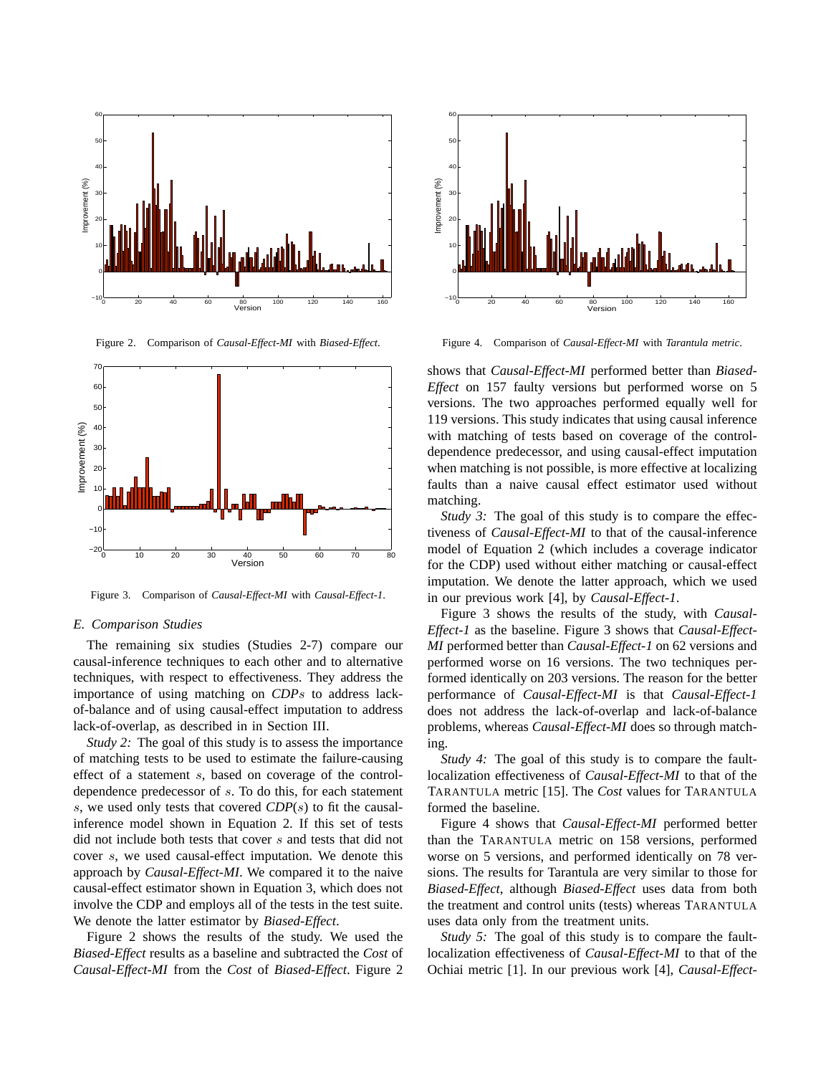

Figure 2. Comparison of *Causal-Effect-MI* with *Biased-Effect*.



Figure 3. Comparison of *Causal-Effect-MI* with *Causal-Effect-1*.

#### *E. Comparison Studies*

The remaining six studies (Studies 2-7) compare our causal-inference techniques to each other and to alternative techniques, with respect to effectiveness. They address the importance of using matching on *CDP*s to address lackof-balance and of using causal-effect imputation to address lack-of-overlap, as described in in Section III.

*Study 2:* The goal of this study is to assess the importance of matching tests to be used to estimate the failure-causing effect of a statement s, based on coverage of the controldependence predecessor of s. To do this, for each statement s, we used only tests that covered *CDP*(s) to fit the causalinference model shown in Equation 2. If this set of tests did not include both tests that cover s and tests that did not cover s, we used causal-effect imputation. We denote this approach by *Causal-Effect-MI*. We compared it to the naive causal-effect estimator shown in Equation 3, which does not involve the CDP and employs all of the tests in the test suite. We denote the latter estimator by *Biased-Effect*.

Figure 2 shows the results of the study. We used the *Biased-Effect* results as a baseline and subtracted the *Cost* of *Causal-Effect-MI* from the *Cost* of *Biased-Effect*. Figure 2



Figure 4. Comparison of *Causal-Effect-MI* with *Tarantula metric*.

shows that *Causal-Effect-MI* performed better than *Biased-Effect* on 157 faulty versions but performed worse on 5 versions. The two approaches performed equally well for 119 versions. This study indicates that using causal inference with matching of tests based on coverage of the controldependence predecessor, and using causal-effect imputation when matching is not possible, is more effective at localizing faults than a naive causal effect estimator used without matching.

*Study 3:* The goal of this study is to compare the effectiveness of *Causal-Effect-MI* to that of the causal-inference model of Equation 2 (which includes a coverage indicator for the CDP) used without either matching or causal-effect imputation. We denote the latter approach, which we used in our previous work [4], by *Causal-Effect-1*.

Figure 3 shows the results of the study, with *Causal-Effect-1* as the baseline. Figure 3 shows that *Causal-Effect-MI* performed better than *Causal-Effect-1* on 62 versions and performed worse on 16 versions. The two techniques performed identically on 203 versions. The reason for the better performance of *Causal-Effect-MI* is that *Causal-Effect-1* does not address the lack-of-overlap and lack-of-balance problems, whereas *Causal-Effect-MI* does so through matching.

*Study 4:* The goal of this study is to compare the faultlocalization effectiveness of *Causal-Effect-MI* to that of the TARANTULA metric [15]. The *Cost* values for TARANTULA formed the baseline.

Figure 4 shows that *Causal-Effect-MI* performed better than the TARANTULA metric on 158 versions, performed worse on 5 versions, and performed identically on 78 versions. The results for Tarantula are very similar to those for *Biased-Effect*, although *Biased-Effect* uses data from both the treatment and control units (tests) whereas TARANTULA uses data only from the treatment units.

*Study 5:* The goal of this study is to compare the faultlocalization effectiveness of *Causal-Effect-MI* to that of the Ochiai metric [1]. In our previous work [4], *Causal-Effect-*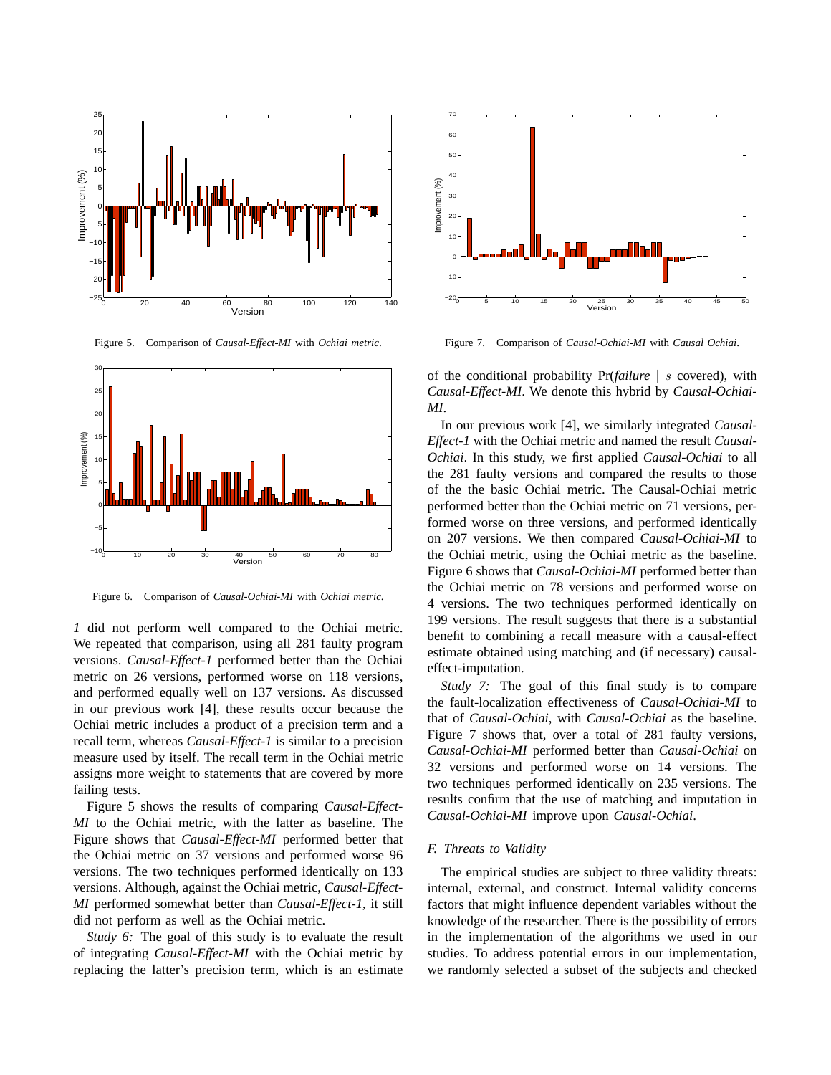

Figure 5. Comparison of *Causal-Effect-MI* with *Ochiai metric*.



Figure 6. Comparison of *Causal-Ochiai-MI* with *Ochiai metric*.

*1* did not perform well compared to the Ochiai metric. We repeated that comparison, using all 281 faulty program versions. *Causal-Effect-1* performed better than the Ochiai metric on 26 versions, performed worse on 118 versions, and performed equally well on 137 versions. As discussed in our previous work [4], these results occur because the Ochiai metric includes a product of a precision term and a recall term, whereas *Causal-Effect-1* is similar to a precision measure used by itself. The recall term in the Ochiai metric assigns more weight to statements that are covered by more failing tests.

Figure 5 shows the results of comparing *Causal-Effect-MI* to the Ochiai metric, with the latter as baseline. The Figure shows that *Causal-Effect-MI* performed better that the Ochiai metric on 37 versions and performed worse 96 versions. The two techniques performed identically on 133 versions. Although, against the Ochiai metric, *Causal-Effect-MI* performed somewhat better than *Causal-Effect-1*, it still did not perform as well as the Ochiai metric.

*Study 6:* The goal of this study is to evaluate the result of integrating *Causal-Effect-MI* with the Ochiai metric by replacing the latter's precision term, which is an estimate



Figure 7. Comparison of *Causal-Ochiai-MI* with *Causal Ochiai*.

of the conditional probability Pr(*failure* | s covered), with *Causal-Effect-MI*. We denote this hybrid by *Causal-Ochiai-MI*.

In our previous work [4], we similarly integrated *Causal-Effect-1* with the Ochiai metric and named the result *Causal-Ochiai*. In this study, we first applied *Causal-Ochiai* to all the 281 faulty versions and compared the results to those of the the basic Ochiai metric. The Causal-Ochiai metric performed better than the Ochiai metric on 71 versions, performed worse on three versions, and performed identically on 207 versions. We then compared *Causal-Ochiai-MI* to the Ochiai metric, using the Ochiai metric as the baseline. Figure 6 shows that *Causal-Ochiai-MI* performed better than the Ochiai metric on 78 versions and performed worse on 4 versions. The two techniques performed identically on 199 versions. The result suggests that there is a substantial benefit to combining a recall measure with a causal-effect estimate obtained using matching and (if necessary) causaleffect-imputation.

*Study 7:* The goal of this final study is to compare the fault-localization effectiveness of *Causal-Ochiai-MI* to that of *Causal-Ochiai*, with *Causal-Ochiai* as the baseline. Figure 7 shows that, over a total of 281 faulty versions, *Causal-Ochiai-MI* performed better than *Causal-Ochiai* on 32 versions and performed worse on 14 versions. The two techniques performed identically on 235 versions. The results confirm that the use of matching and imputation in *Causal-Ochiai-MI* improve upon *Causal-Ochiai*.

### *F. Threats to Validity*

The empirical studies are subject to three validity threats: internal, external, and construct. Internal validity concerns factors that might influence dependent variables without the knowledge of the researcher. There is the possibility of errors in the implementation of the algorithms we used in our studies. To address potential errors in our implementation, we randomly selected a subset of the subjects and checked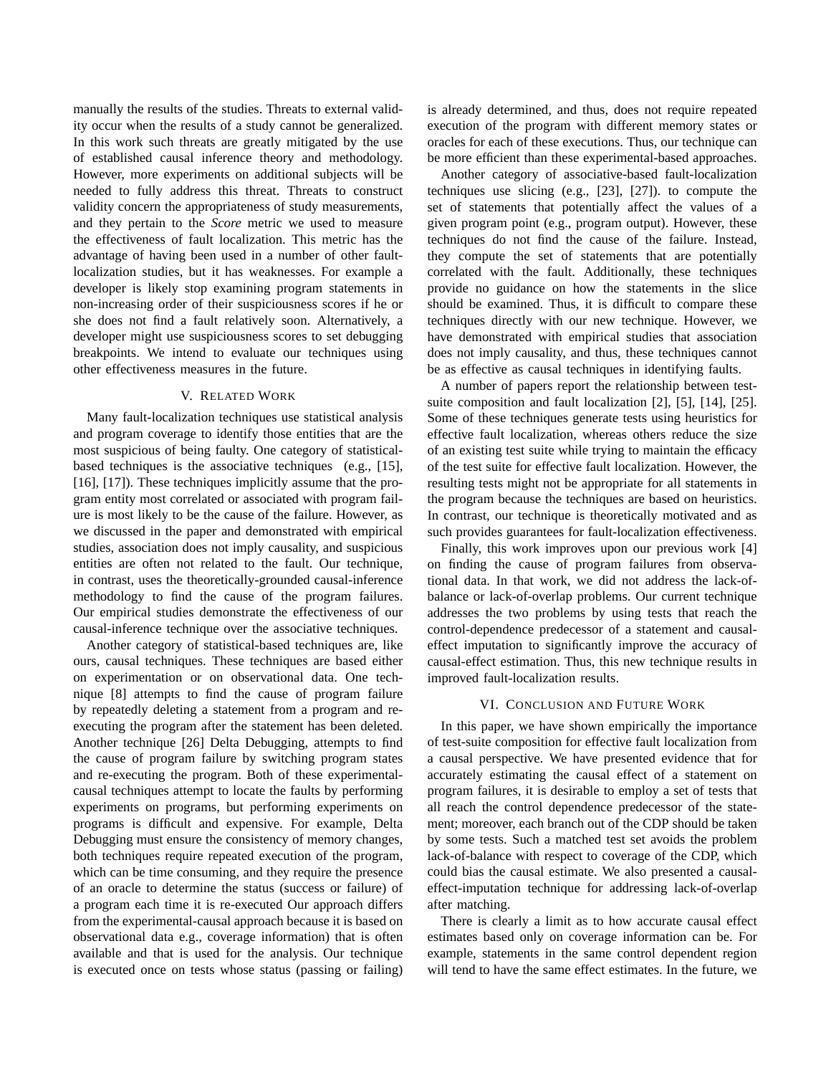manually the results of the studies. Threats to external validity occur when the results of a study cannot be generalized. In this work such threats are greatly mitigated by the use of established causal inference theory and methodology. However, more experiments on additional subjects will be needed to fully address this threat. Threats to construct validity concern the appropriateness of study measurements, and they pertain to the *Score* metric we used to measure the effectiveness of fault localization. This metric has the advantage of having been used in a number of other faultlocalization studies, but it has weaknesses. For example a developer is likely stop examining program statements in non-increasing order of their suspiciousness scores if he or she does not find a fault relatively soon. Alternatively, a developer might use suspiciousness scores to set debugging breakpoints. We intend to evaluate our techniques using other effectiveness measures in the future.

# V. RELATED WORK

Many fault-localization techniques use statistical analysis and program coverage to identify those entities that are the most suspicious of being faulty. One category of statisticalbased techniques is the associative techniques (e.g., [15], [16], [17]). These techniques implicitly assume that the program entity most correlated or associated with program failure is most likely to be the cause of the failure. However, as we discussed in the paper and demonstrated with empirical studies, association does not imply causality, and suspicious entities are often not related to the fault. Our technique, in contrast, uses the theoretically-grounded causal-inference methodology to find the cause of the program failures. Our empirical studies demonstrate the effectiveness of our causal-inference technique over the associative techniques.

Another category of statistical-based techniques are, like ours, causal techniques. These techniques are based either on experimentation or on observational data. One technique [8] attempts to find the cause of program failure by repeatedly deleting a statement from a program and reexecuting the program after the statement has been deleted. Another technique [26] Delta Debugging, attempts to find the cause of program failure by switching program states and re-executing the program. Both of these experimentalcausal techniques attempt to locate the faults by performing experiments on programs, but performing experiments on programs is difficult and expensive. For example, Delta Debugging must ensure the consistency of memory changes, both techniques require repeated execution of the program, which can be time consuming, and they require the presence of an oracle to determine the status (success or failure) of a program each time it is re-executed Our approach differs from the experimental-causal approach because it is based on observational data e.g., coverage information) that is often available and that is used for the analysis. Our technique is executed once on tests whose status (passing or failing) is already determined, and thus, does not require repeated execution of the program with different memory states or oracles for each of these executions. Thus, our technique can be more efficient than these experimental-based approaches.

Another category of associative-based fault-localization techniques use slicing (e.g., [23], [27]). to compute the set of statements that potentially affect the values of a given program point (e.g., program output). However, these techniques do not find the cause of the failure. Instead, they compute the set of statements that are potentially correlated with the fault. Additionally, these techniques provide no guidance on how the statements in the slice should be examined. Thus, it is difficult to compare these techniques directly with our new technique. However, we have demonstrated with empirical studies that association does not imply causality, and thus, these techniques cannot be as effective as causal techniques in identifying faults.

A number of papers report the relationship between testsuite composition and fault localization [2], [5], [14], [25]. Some of these techniques generate tests using heuristics for effective fault localization, whereas others reduce the size of an existing test suite while trying to maintain the efficacy of the test suite for effective fault localization. However, the resulting tests might not be appropriate for all statements in the program because the techniques are based on heuristics. In contrast, our technique is theoretically motivated and as such provides guarantees for fault-localization effectiveness.

Finally, this work improves upon our previous work [4] on finding the cause of program failures from observational data. In that work, we did not address the lack-ofbalance or lack-of-overlap problems. Our current technique addresses the two problems by using tests that reach the control-dependence predecessor of a statement and causaleffect imputation to significantly improve the accuracy of causal-effect estimation. Thus, this new technique results in improved fault-localization results.

## VI. CONCLUSION AND FUTURE WORK

In this paper, we have shown empirically the importance of test-suite composition for effective fault localization from a causal perspective. We have presented evidence that for accurately estimating the causal effect of a statement on program failures, it is desirable to employ a set of tests that all reach the control dependence predecessor of the statement; moreover, each branch out of the CDP should be taken by some tests. Such a matched test set avoids the problem lack-of-balance with respect to coverage of the CDP, which could bias the causal estimate. We also presented a causaleffect-imputation technique for addressing lack-of-overlap after matching.

There is clearly a limit as to how accurate causal effect estimates based only on coverage information can be. For example, statements in the same control dependent region will tend to have the same effect estimates. In the future, we